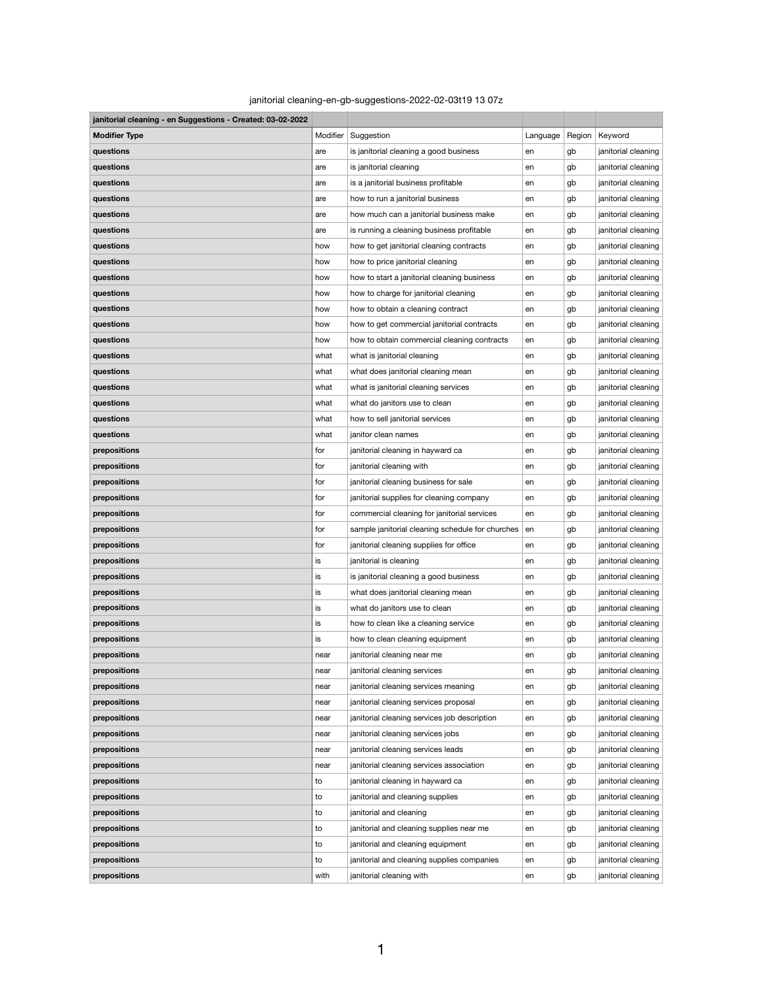## janitorial cleaning-en-gb-suggestions-2022-02-03t19 13 07z

| janitorial cleaning - en Suggestions - Created: 03-02-2022 |          |                                                  |          |        |                     |
|------------------------------------------------------------|----------|--------------------------------------------------|----------|--------|---------------------|
| <b>Modifier Type</b>                                       | Modifier | Suggestion                                       | Language | Region | Keyword             |
| questions                                                  | are      | is janitorial cleaning a good business           | en       | gb     | janitorial cleaning |
| questions                                                  | are      | is janitorial cleaning                           | en       | gb     | janitorial cleaning |
| questions                                                  | are      | is a janitorial business profitable              | en       | gb     | janitorial cleaning |
| questions                                                  | are      | how to run a janitorial business                 | en       | gb     | janitorial cleaning |
| questions                                                  | are      | how much can a janitorial business make          | en       | gb     | janitorial cleaning |
| questions                                                  | are      | is running a cleaning business profitable        | en       | gb     | janitorial cleaning |
| questions                                                  | how      | how to get janitorial cleaning contracts         | en       | gb     | janitorial cleaning |
| questions                                                  | how      | how to price janitorial cleaning                 | en       | gb     | janitorial cleaning |
| questions                                                  | how      | how to start a janitorial cleaning business      | en       | gb     | janitorial cleaning |
| questions                                                  | how      | how to charge for janitorial cleaning            | en       | gb     | janitorial cleaning |
| questions                                                  | how      | how to obtain a cleaning contract                | en       | gb     | janitorial cleaning |
| questions                                                  | how      | how to get commercial janitorial contracts       | en       | gb     | janitorial cleaning |
| questions                                                  | how      | how to obtain commercial cleaning contracts      | en       | gb     | janitorial cleaning |
| questions                                                  | what     | what is janitorial cleaning                      | en       | gb     | janitorial cleaning |
| questions                                                  | what     | what does janitorial cleaning mean               | en       | gb     | janitorial cleaning |
| questions                                                  | what     | what is janitorial cleaning services             | en       | gb     | janitorial cleaning |
| questions                                                  | what     | what do janitors use to clean                    | en       | gb     | janitorial cleaning |
| questions                                                  | what     | how to sell janitorial services                  | en       | gb     | janitorial cleaning |
| questions                                                  | what     | janitor clean names                              | en       | gb     | janitorial cleaning |
| prepositions                                               | for      | janitorial cleaning in hayward ca                | en       | gb     | janitorial cleaning |
| prepositions                                               | for      | janitorial cleaning with                         | en       | gb     | janitorial cleaning |
| prepositions                                               | for      | janitorial cleaning business for sale            | en       | gb     | janitorial cleaning |
| prepositions                                               | for      | janitorial supplies for cleaning company         | en       | gb     | janitorial cleaning |
| prepositions                                               | for      | commercial cleaning for janitorial services      | en       | gb     | janitorial cleaning |
| prepositions                                               | for      | sample janitorial cleaning schedule for churches | en       | gb     | janitorial cleaning |
| prepositions                                               | for      | janitorial cleaning supplies for office          | en       | gb     | janitorial cleaning |
| prepositions                                               | is       | janitorial is cleaning                           | en       | gb     | janitorial cleaning |
| prepositions                                               | is.      | is janitorial cleaning a good business           | en       | gb     | janitorial cleaning |
| prepositions                                               | is       | what does janitorial cleaning mean               | en       | gb     | janitorial cleaning |
| prepositions                                               | is       | what do janitors use to clean                    | en       | gb     | janitorial cleaning |
| prepositions                                               | is.      | how to clean like a cleaning service             | en       | gb     | janitorial cleaning |
| prepositions                                               | is       | how to clean cleaning equipment                  | en       | gb     | janitorial cleaning |
| prepositions                                               | near     | janitorial cleaning near me                      | en       | gb     | janitorial cleaning |
| prepositions                                               | near     | janitorial cleaning services                     | en       | gb     | janitorial cleaning |
| prepositions                                               | near     | janitorial cleaning services meaning             | en       | gb     | janitorial cleaning |
| prepositions                                               | near     | janitorial cleaning services proposal            | en       | gb     | janitorial cleaning |
| prepositions                                               | near     | janitorial cleaning services job description     | en       | gb     | janitorial cleaning |
| prepositions                                               | near     | janitorial cleaning services jobs                | en       | gb     | janitorial cleaning |
| prepositions                                               | near     | janitorial cleaning services leads               | en       | gb     | janitorial cleaning |
| prepositions                                               | near     | janitorial cleaning services association         | en       | gb     | janitorial cleaning |
| prepositions                                               | to       | janitorial cleaning in hayward ca                | en       | gb     | janitorial cleaning |
| prepositions                                               | to       | janitorial and cleaning supplies                 | en       | gb     | janitorial cleaning |
| prepositions                                               | to       | janitorial and cleaning                          | en       | gb     | janitorial cleaning |
| prepositions                                               | to       | janitorial and cleaning supplies near me         | en       | gb     | janitorial cleaning |
| prepositions                                               | to       | janitorial and cleaning equipment                | en       | gb     | janitorial cleaning |
| prepositions                                               | to       | janitorial and cleaning supplies companies       | en       | gb     | janitorial cleaning |
| prepositions                                               | with     | janitorial cleaning with                         | en       | gb     | janitorial cleaning |

1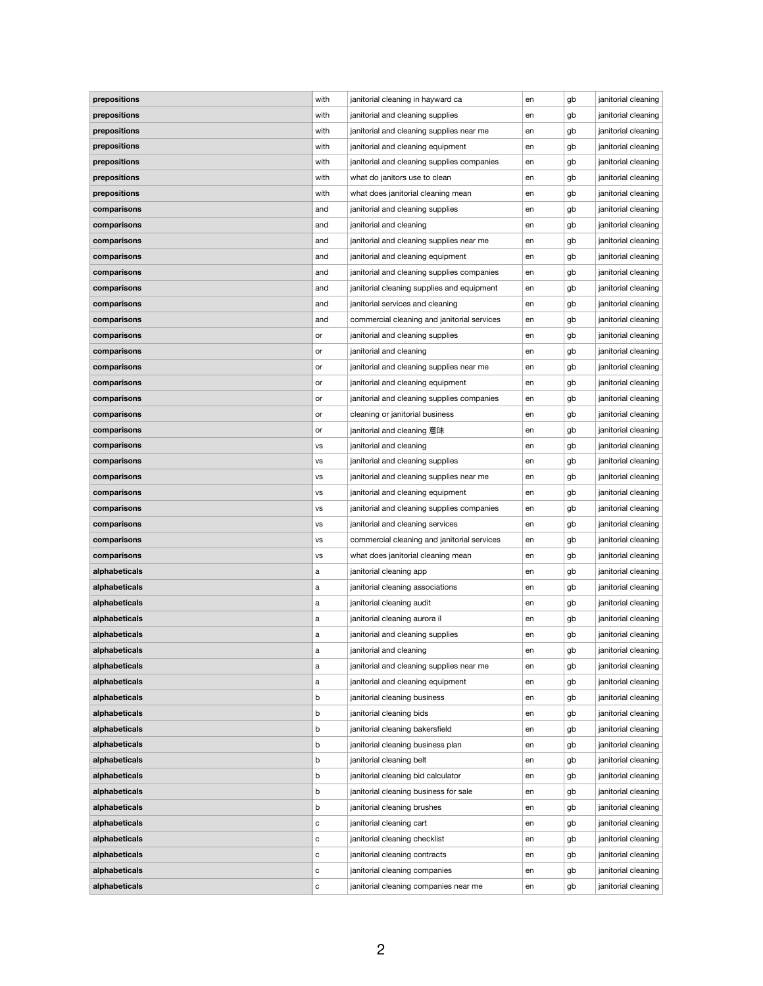| prepositions  | with      | janitorial cleaning in hayward ca           | en | gb | janitorial cleaning |
|---------------|-----------|---------------------------------------------|----|----|---------------------|
| prepositions  | with      | janitorial and cleaning supplies            | en | gb | janitorial cleaning |
| prepositions  | with      | janitorial and cleaning supplies near me    |    | gb | janitorial cleaning |
| prepositions  | with      | janitorial and cleaning equipment           | en |    | janitorial cleaning |
|               |           |                                             | en | gb |                     |
| prepositions  | with      | janitorial and cleaning supplies companies  | en | gb | janitorial cleaning |
| prepositions  | with      | what do janitors use to clean               | en | gb | janitorial cleaning |
| prepositions  | with      | what does janitorial cleaning mean          | en | gb | janitorial cleaning |
| comparisons   | and       | janitorial and cleaning supplies            | en | gb | janitorial cleaning |
| comparisons   | and       | janitorial and cleaning                     | en | gb | janitorial cleaning |
| comparisons   | and       | janitorial and cleaning supplies near me    | en | gb | janitorial cleaning |
| comparisons   | and       | janitorial and cleaning equipment           | en | gb | janitorial cleaning |
| comparisons   | and       | janitorial and cleaning supplies companies  | en | gb | janitorial cleaning |
| comparisons   | and       | janitorial cleaning supplies and equipment  | en | gb | janitorial cleaning |
| comparisons   | and       | janitorial services and cleaning            | en | gb | janitorial cleaning |
| comparisons   | and       | commercial cleaning and janitorial services | en | gb | janitorial cleaning |
| comparisons   | or        | janitorial and cleaning supplies            | en | gb | janitorial cleaning |
| comparisons   | or        | janitorial and cleaning                     | en | gb | janitorial cleaning |
| comparisons   | or        | janitorial and cleaning supplies near me    | en | gb | janitorial cleaning |
| comparisons   | or        | janitorial and cleaning equipment           | en | gb | janitorial cleaning |
| comparisons   | or        | janitorial and cleaning supplies companies  | en | gb | janitorial cleaning |
| comparisons   | or        | cleaning or janitorial business             | en | gb | janitorial cleaning |
| comparisons   | or        | janitorial and cleaning 意味                  | en | gb | janitorial cleaning |
| comparisons   | <b>VS</b> | janitorial and cleaning                     | en | gb | janitorial cleaning |
| comparisons   | ٧S        | janitorial and cleaning supplies            | en | gb | janitorial cleaning |
| comparisons   | <b>VS</b> | janitorial and cleaning supplies near me    | en | gb | janitorial cleaning |
| comparisons   | <b>VS</b> | janitorial and cleaning equipment           | en | gb | janitorial cleaning |
| comparisons   | <b>VS</b> | janitorial and cleaning supplies companies  | en | gb | janitorial cleaning |
| comparisons   | <b>VS</b> | janitorial and cleaning services            | en | gb | janitorial cleaning |
| comparisons   | ٧S        | commercial cleaning and janitorial services | en | gb | janitorial cleaning |
| comparisons   | <b>VS</b> | what does janitorial cleaning mean          | en | gb | janitorial cleaning |
| alphabeticals | a         | janitorial cleaning app                     | en | gb | janitorial cleaning |
| alphabeticals | а         | janitorial cleaning associations            | en | gb | janitorial cleaning |
| alphabeticals | а         | janitorial cleaning audit                   | en | gb | janitorial cleaning |
| alphabeticals |           | janitorial cleaning aurora il               | en | gb | janitorial cleaning |
|               | a         |                                             |    |    |                     |
| alphabeticals | a         | janitorial and cleaning supplies            | en | gb | janitorial cleaning |
| alphabeticals | а         | janitorial and cleaning                     | en | gb | janitorial cleaning |
| alphabeticals | a         | janitorial and cleaning supplies near me    | en | gb | janitorial cleaning |
| alphabeticals | a         | janitorial and cleaning equipment           | en | gb | janitorial cleaning |
| alphabeticals | b         | janitorial cleaning business                | en | gb | janitorial cleaning |
| alphabeticals | b         | janitorial cleaning bids                    | en | gb | janitorial cleaning |
| alphabeticals | b         | janitorial cleaning bakersfield             | en | gb | janitorial cleaning |
| alphabeticals | b         | janitorial cleaning business plan           | en | gb | janitorial cleaning |
| alphabeticals | b         | janitorial cleaning belt                    | en | gb | janitorial cleaning |
| alphabeticals | b         | janitorial cleaning bid calculator          | en | gb | janitorial cleaning |
| alphabeticals | b         | janitorial cleaning business for sale       | en | gb | janitorial cleaning |
| alphabeticals | b         | janitorial cleaning brushes                 | en | gb | janitorial cleaning |
| alphabeticals | C         | janitorial cleaning cart                    | en | gb | janitorial cleaning |
| alphabeticals | C         | janitorial cleaning checklist               | en | gb | janitorial cleaning |
| alphabeticals | С         | janitorial cleaning contracts               | en | gb | janitorial cleaning |
| alphabeticals | С         | janitorial cleaning companies               | en | gb | janitorial cleaning |
| alphabeticals | С         | janitorial cleaning companies near me       | en | gb | janitorial cleaning |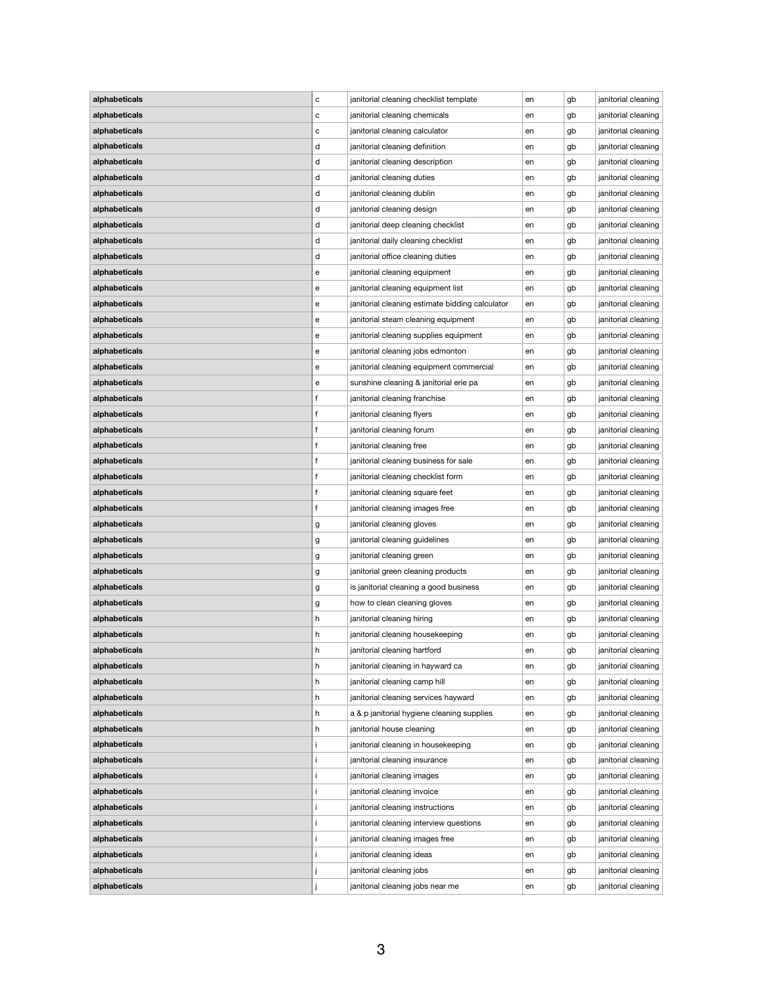| alphabeticals | с  | janitorial cleaning checklist template          | en | gb | janitorial cleaning |
|---------------|----|-------------------------------------------------|----|----|---------------------|
| alphabeticals | с  | janitorial cleaning chemicals                   | en | gb | janitorial cleaning |
| alphabeticals | С  | janitorial cleaning calculator                  | en | gb | janitorial cleaning |
| alphabeticals | d  | janitorial cleaning definition                  | en | gb | janitorial cleaning |
| alphabeticals | d  | janitorial cleaning description                 | en | gb | janitorial cleaning |
| alphabeticals | d  | janitorial cleaning duties                      | en | gb | janitorial cleaning |
| alphabeticals | d  | janitorial cleaning dublin                      | en | gb | janitorial cleaning |
| alphabeticals | d  | janitorial cleaning design                      | en | gb | janitorial cleaning |
| alphabeticals | d  | janitorial deep cleaning checklist              | en | gb | janitorial cleaning |
| alphabeticals | d  | janitorial daily cleaning checklist             | en | gb | janitorial cleaning |
| alphabeticals | d  | janitorial office cleaning duties               | en | gb | janitorial cleaning |
| alphabeticals | е  | janitorial cleaning equipment                   | en | gb | janitorial cleaning |
| alphabeticals | е  | janitorial cleaning equipment list              | en | gb | janitorial cleaning |
| alphabeticals | е  | janitorial cleaning estimate bidding calculator | en | gb | janitorial cleaning |
| alphabeticals | е  | janitorial steam cleaning equipment             | en | gb | janitorial cleaning |
| alphabeticals | е  | janitorial cleaning supplies equipment          | en | gb | janitorial cleaning |
| alphabeticals | е  | janitorial cleaning jobs edmonton               | en | gb | janitorial cleaning |
| alphabeticals | е  | janitorial cleaning equipment commercial        | en | gb | janitorial cleaning |
| alphabeticals | е  | sunshine cleaning & janitorial erie pa          | en | gb | janitorial cleaning |
| alphabeticals | f  | janitorial cleaning franchise                   | en | gb | janitorial cleaning |
| alphabeticals | f  | janitorial cleaning flyers                      | en | gb | janitorial cleaning |
| alphabeticals |    | janitorial cleaning forum                       | en | gb | janitorial cleaning |
| alphabeticals |    | janitorial cleaning free                        | en | gb | janitorial cleaning |
| alphabeticals |    | janitorial cleaning business for sale           | en | gb | janitorial cleaning |
| alphabeticals |    | janitorial cleaning checklist form              | en | gb | janitorial cleaning |
| alphabeticals | f  | janitorial cleaning square feet                 | en | gb | janitorial cleaning |
| alphabeticals | f  | janitorial cleaning images free                 | en | gb | janitorial cleaning |
| alphabeticals | g  | janitorial cleaning gloves                      | en | gb | janitorial cleaning |
| alphabeticals | g  | janitorial cleaning guidelines                  | en | gb | janitorial cleaning |
| alphabeticals | g  | janitorial cleaning green                       | en | gb | janitorial cleaning |
| alphabeticals | g  | janitorial green cleaning products              | en | gb | janitorial cleaning |
| alphabeticals | g  | is janitorial cleaning a good business          | en | gb | janitorial cleaning |
| alphabeticals | g  | how to clean cleaning gloves                    | en | gb | janitorial cleaning |
| alphabeticals | h  | janitorial cleaning hiring                      | en | gb | janitorial cleaning |
| alphabeticals | h. | janitorial cleaning housekeeping                | en | gb | janitorial cleaning |
| alphabeticals | h  | janitorial cleaning hartford                    | en | gb | janitorial cleaning |
| alphabeticals | h  | janitorial cleaning in hayward ca               | en | gb | janitorial cleaning |
| alphabeticals | h. | janitorial cleaning camp hill                   | en | gb | janitorial cleaning |
| alphabeticals | h  | janitorial cleaning services hayward            | en | gb | janitorial cleaning |
| alphabeticals | h  | a & p janitorial hygiene cleaning supplies      | en | gb | janitorial cleaning |
| alphabeticals | h. | janitorial house cleaning                       | en | gb | janitorial cleaning |
| alphabeticals |    | janitorial cleaning in housekeeping             | en | gb | janitorial cleaning |
| alphabeticals |    | janitorial cleaning insurance                   | en | gb | janitorial cleaning |
| alphabeticals |    | janitorial cleaning images                      | en | gb | janitorial cleaning |
| alphabeticals |    | janitorial cleaning invoice                     | en | gb | janitorial cleaning |
| alphabeticals |    | janitorial cleaning instructions                | en | gb | janitorial cleaning |
| alphabeticals |    | janitorial cleaning interview questions         | en | gb | janitorial cleaning |
| alphabeticals |    | janitorial cleaning images free                 | en | gb | janitorial cleaning |
| alphabeticals |    | janitorial cleaning ideas                       | en | gb | janitorial cleaning |
| alphabeticals |    | janitorial cleaning jobs                        | en | gb | janitorial cleaning |
| alphabeticals |    | janitorial cleaning jobs near me                | en | gb | janitorial cleaning |
|               |    |                                                 |    |    |                     |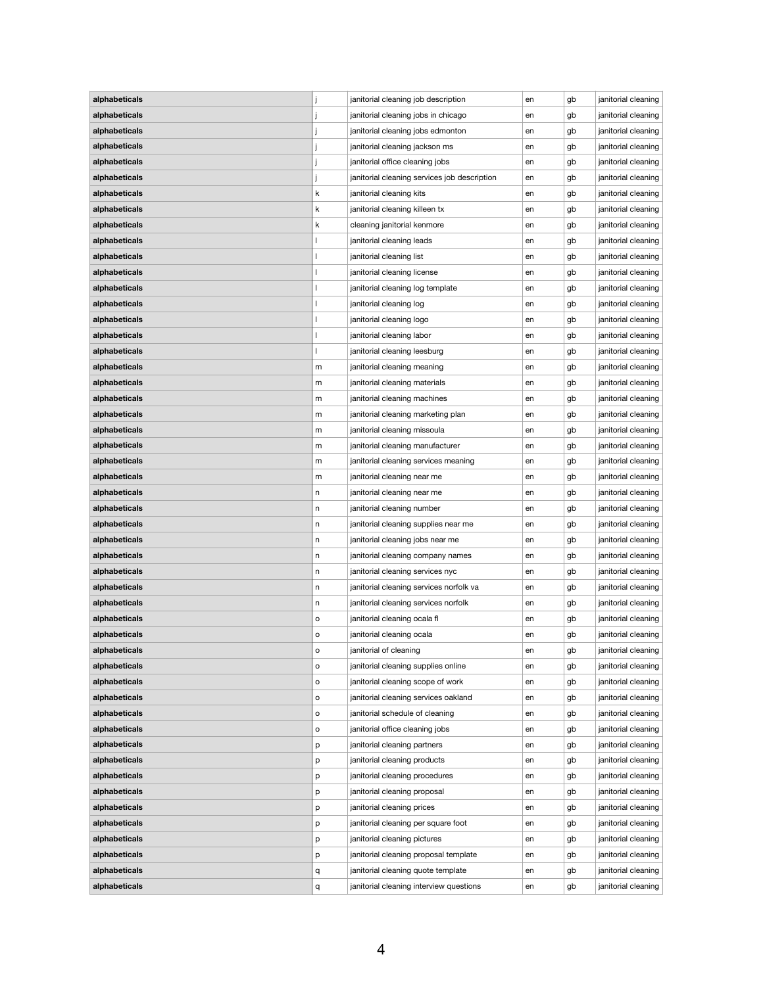| janitorial cleaning jobs in chicago<br>janitorial cleaning<br>alphabeticals<br>gb<br>en<br>alphabeticals<br>janitorial cleaning jobs edmonton<br>janitorial cleaning<br>gb<br>en<br>alphabeticals<br>janitorial cleaning jackson ms<br>janitorial cleaning<br>gb<br>en<br>janitorial office cleaning jobs<br>janitorial cleaning<br>alphabeticals<br>gb<br>en<br>alphabeticals<br>janitorial cleaning services job description<br>janitorial cleaning<br>gb<br>en<br>alphabeticals<br>janitorial cleaning kits<br>janitorial cleaning<br>k.<br>gb<br>en<br>alphabeticals<br>janitorial cleaning killeen tx<br>janitorial cleaning<br>k<br>gb<br>en<br>alphabeticals<br>cleaning janitorial kenmore<br>janitorial cleaning<br>k.<br>gb<br>en<br>alphabeticals<br>janitorial cleaning leads<br>janitorial cleaning<br>gb<br>en<br>janitorial cleaning list<br>janitorial cleaning<br>alphabeticals<br>gb<br>en<br>janitorial cleaning license<br>janitorial cleaning<br>alphabeticals<br>gb<br>en<br>alphabeticals<br>janitorial cleaning log template<br>janitorial cleaning<br>gb<br>en<br>janitorial cleaning<br>alphabeticals<br>janitorial cleaning log<br>gb<br>en<br>alphabeticals<br>janitorial cleaning logo<br>janitorial cleaning<br>gb<br>en<br>alphabeticals<br>janitorial cleaning labor<br>janitorial cleaning<br>gb<br>en<br>janitorial cleaning leesburg<br>alphabeticals<br>janitorial cleaning<br>gb<br>en<br>alphabeticals<br>janitorial cleaning meaning<br>janitorial cleaning<br>gb<br>m<br>en<br>alphabeticals<br>janitorial cleaning materials<br>janitorial cleaning<br>gb<br>en<br>m<br>janitorial cleaning machines<br>alphabeticals<br>janitorial cleaning<br>gb<br>en<br>m<br>alphabeticals<br>janitorial cleaning marketing plan<br>janitorial cleaning<br>gb<br>m<br>en<br>alphabeticals<br>janitorial cleaning missoula<br>janitorial cleaning<br>gb<br>m<br>en<br>alphabeticals<br>janitorial cleaning manufacturer<br>janitorial cleaning<br>gb<br>m<br>en<br>alphabeticals<br>janitorial cleaning services meaning<br>janitorial cleaning<br>gb<br>en<br>m<br>alphabeticals<br>janitorial cleaning near me<br>janitorial cleaning<br>gb<br>m<br>en<br>alphabeticals<br>janitorial cleaning near me<br>janitorial cleaning<br>gb<br>en<br>n<br>alphabeticals<br>janitorial cleaning number<br>janitorial cleaning<br>gb<br>n<br>en<br>janitorial cleaning supplies near me<br>alphabeticals<br>janitorial cleaning<br>gb<br>n<br>en<br>alphabeticals<br>janitorial cleaning jobs near me<br>janitorial cleaning<br>gb<br>n<br>en<br>alphabeticals<br>janitorial cleaning<br>janitorial cleaning company names<br>gb<br>n<br>en<br>janitorial cleaning services nyc<br>alphabeticals<br>janitorial cleaning<br>gb<br>en<br>n<br>alphabeticals<br>janitorial cleaning services norfolk va<br>janitorial cleaning<br>gb<br>n<br>en<br>alphabeticals<br>janitorial cleaning services norfolk<br>janitorial cleaning<br>gb<br>n<br>en<br>janitorial cleaning ocala fl<br>alphabeticals<br>janitorial cleaning<br>gb<br>en<br>о<br>janitorial cleaning ocala<br>alphabeticals<br>janitorial cleaning<br>gb<br>о<br>en<br>alphabeticals<br>janitorial of cleaning<br>janitorial cleaning<br>gb<br>о<br>en<br>janitorial cleaning supplies online<br>alphabeticals<br>janitorial cleaning<br>gb<br>о<br>en<br>alphabeticals<br>janitorial cleaning scope of work<br>janitorial cleaning<br>gb<br>о<br>en<br>alphabeticals<br>janitorial cleaning services oakland<br>janitorial cleaning<br>gb<br>en<br>о<br>alphabeticals<br>janitorial schedule of cleaning<br>janitorial cleaning<br>gb<br>о<br>en<br>alphabeticals<br>janitorial office cleaning jobs<br>janitorial cleaning<br>gb<br>о<br>en<br>alphabeticals<br>janitorial cleaning partners<br>janitorial cleaning<br>gb<br>en<br>р<br>janitorial cleaning products<br>alphabeticals<br>janitorial cleaning<br>gb<br>p<br>en<br>alphabeticals<br>janitorial cleaning procedures<br>janitorial cleaning<br>gb<br>en<br>p<br>alphabeticals<br>janitorial cleaning proposal<br>gb<br>janitorial cleaning<br>р<br>en<br>alphabeticals<br>janitorial cleaning prices<br>janitorial cleaning<br>gb<br>p<br>en<br>janitorial cleaning per square foot<br>alphabeticals<br>janitorial cleaning<br>gb<br>en<br>p<br>janitorial cleaning pictures<br>janitorial cleaning<br>alphabeticals<br>gb<br>р<br>en<br>alphabeticals<br>janitorial cleaning proposal template<br>janitorial cleaning<br>gb<br>en<br>p<br>janitorial cleaning quote template<br>alphabeticals<br>janitorial cleaning<br>gb<br>en<br>q<br>janitorial cleaning interview questions<br>janitorial cleaning<br>alphabeticals<br>gb<br>en | alphabeticals |   | janitorial cleaning job description | en | gb | janitorial cleaning |
|----------------------------------------------------------------------------------------------------------------------------------------------------------------------------------------------------------------------------------------------------------------------------------------------------------------------------------------------------------------------------------------------------------------------------------------------------------------------------------------------------------------------------------------------------------------------------------------------------------------------------------------------------------------------------------------------------------------------------------------------------------------------------------------------------------------------------------------------------------------------------------------------------------------------------------------------------------------------------------------------------------------------------------------------------------------------------------------------------------------------------------------------------------------------------------------------------------------------------------------------------------------------------------------------------------------------------------------------------------------------------------------------------------------------------------------------------------------------------------------------------------------------------------------------------------------------------------------------------------------------------------------------------------------------------------------------------------------------------------------------------------------------------------------------------------------------------------------------------------------------------------------------------------------------------------------------------------------------------------------------------------------------------------------------------------------------------------------------------------------------------------------------------------------------------------------------------------------------------------------------------------------------------------------------------------------------------------------------------------------------------------------------------------------------------------------------------------------------------------------------------------------------------------------------------------------------------------------------------------------------------------------------------------------------------------------------------------------------------------------------------------------------------------------------------------------------------------------------------------------------------------------------------------------------------------------------------------------------------------------------------------------------------------------------------------------------------------------------------------------------------------------------------------------------------------------------------------------------------------------------------------------------------------------------------------------------------------------------------------------------------------------------------------------------------------------------------------------------------------------------------------------------------------------------------------------------------------------------------------------------------------------------------------------------------------------------------------------------------------------------------------------------------------------------------------------------------------------------------------------------------------------------------------------------------------------------------------------------------------------------------------------------------------------------------------------------------------------------------------------------------------------------------------------------------------------------------------------------------------------------------------------------------------------------------------------------------------------------------------------------------------------------------------------------------------------------------------------------------------------------------------------------------------------------------------------------------------------------------------------------------------------------------------------------------------|---------------|---|-------------------------------------|----|----|---------------------|
|                                                                                                                                                                                                                                                                                                                                                                                                                                                                                                                                                                                                                                                                                                                                                                                                                                                                                                                                                                                                                                                                                                                                                                                                                                                                                                                                                                                                                                                                                                                                                                                                                                                                                                                                                                                                                                                                                                                                                                                                                                                                                                                                                                                                                                                                                                                                                                                                                                                                                                                                                                                                                                                                                                                                                                                                                                                                                                                                                                                                                                                                                                                                                                                                                                                                                                                                                                                                                                                                                                                                                                                                                                                                                                                                                                                                                                                                                                                                                                                                                                                                                                                                                                                                                                                                                                                                                                                                                                                                                                                                                                                                                                                                                  |               |   |                                     |    |    |                     |
|                                                                                                                                                                                                                                                                                                                                                                                                                                                                                                                                                                                                                                                                                                                                                                                                                                                                                                                                                                                                                                                                                                                                                                                                                                                                                                                                                                                                                                                                                                                                                                                                                                                                                                                                                                                                                                                                                                                                                                                                                                                                                                                                                                                                                                                                                                                                                                                                                                                                                                                                                                                                                                                                                                                                                                                                                                                                                                                                                                                                                                                                                                                                                                                                                                                                                                                                                                                                                                                                                                                                                                                                                                                                                                                                                                                                                                                                                                                                                                                                                                                                                                                                                                                                                                                                                                                                                                                                                                                                                                                                                                                                                                                                                  |               |   |                                     |    |    |                     |
|                                                                                                                                                                                                                                                                                                                                                                                                                                                                                                                                                                                                                                                                                                                                                                                                                                                                                                                                                                                                                                                                                                                                                                                                                                                                                                                                                                                                                                                                                                                                                                                                                                                                                                                                                                                                                                                                                                                                                                                                                                                                                                                                                                                                                                                                                                                                                                                                                                                                                                                                                                                                                                                                                                                                                                                                                                                                                                                                                                                                                                                                                                                                                                                                                                                                                                                                                                                                                                                                                                                                                                                                                                                                                                                                                                                                                                                                                                                                                                                                                                                                                                                                                                                                                                                                                                                                                                                                                                                                                                                                                                                                                                                                                  |               |   |                                     |    |    |                     |
|                                                                                                                                                                                                                                                                                                                                                                                                                                                                                                                                                                                                                                                                                                                                                                                                                                                                                                                                                                                                                                                                                                                                                                                                                                                                                                                                                                                                                                                                                                                                                                                                                                                                                                                                                                                                                                                                                                                                                                                                                                                                                                                                                                                                                                                                                                                                                                                                                                                                                                                                                                                                                                                                                                                                                                                                                                                                                                                                                                                                                                                                                                                                                                                                                                                                                                                                                                                                                                                                                                                                                                                                                                                                                                                                                                                                                                                                                                                                                                                                                                                                                                                                                                                                                                                                                                                                                                                                                                                                                                                                                                                                                                                                                  |               |   |                                     |    |    |                     |
|                                                                                                                                                                                                                                                                                                                                                                                                                                                                                                                                                                                                                                                                                                                                                                                                                                                                                                                                                                                                                                                                                                                                                                                                                                                                                                                                                                                                                                                                                                                                                                                                                                                                                                                                                                                                                                                                                                                                                                                                                                                                                                                                                                                                                                                                                                                                                                                                                                                                                                                                                                                                                                                                                                                                                                                                                                                                                                                                                                                                                                                                                                                                                                                                                                                                                                                                                                                                                                                                                                                                                                                                                                                                                                                                                                                                                                                                                                                                                                                                                                                                                                                                                                                                                                                                                                                                                                                                                                                                                                                                                                                                                                                                                  |               |   |                                     |    |    |                     |
|                                                                                                                                                                                                                                                                                                                                                                                                                                                                                                                                                                                                                                                                                                                                                                                                                                                                                                                                                                                                                                                                                                                                                                                                                                                                                                                                                                                                                                                                                                                                                                                                                                                                                                                                                                                                                                                                                                                                                                                                                                                                                                                                                                                                                                                                                                                                                                                                                                                                                                                                                                                                                                                                                                                                                                                                                                                                                                                                                                                                                                                                                                                                                                                                                                                                                                                                                                                                                                                                                                                                                                                                                                                                                                                                                                                                                                                                                                                                                                                                                                                                                                                                                                                                                                                                                                                                                                                                                                                                                                                                                                                                                                                                                  |               |   |                                     |    |    |                     |
|                                                                                                                                                                                                                                                                                                                                                                                                                                                                                                                                                                                                                                                                                                                                                                                                                                                                                                                                                                                                                                                                                                                                                                                                                                                                                                                                                                                                                                                                                                                                                                                                                                                                                                                                                                                                                                                                                                                                                                                                                                                                                                                                                                                                                                                                                                                                                                                                                                                                                                                                                                                                                                                                                                                                                                                                                                                                                                                                                                                                                                                                                                                                                                                                                                                                                                                                                                                                                                                                                                                                                                                                                                                                                                                                                                                                                                                                                                                                                                                                                                                                                                                                                                                                                                                                                                                                                                                                                                                                                                                                                                                                                                                                                  |               |   |                                     |    |    |                     |
|                                                                                                                                                                                                                                                                                                                                                                                                                                                                                                                                                                                                                                                                                                                                                                                                                                                                                                                                                                                                                                                                                                                                                                                                                                                                                                                                                                                                                                                                                                                                                                                                                                                                                                                                                                                                                                                                                                                                                                                                                                                                                                                                                                                                                                                                                                                                                                                                                                                                                                                                                                                                                                                                                                                                                                                                                                                                                                                                                                                                                                                                                                                                                                                                                                                                                                                                                                                                                                                                                                                                                                                                                                                                                                                                                                                                                                                                                                                                                                                                                                                                                                                                                                                                                                                                                                                                                                                                                                                                                                                                                                                                                                                                                  |               |   |                                     |    |    |                     |
|                                                                                                                                                                                                                                                                                                                                                                                                                                                                                                                                                                                                                                                                                                                                                                                                                                                                                                                                                                                                                                                                                                                                                                                                                                                                                                                                                                                                                                                                                                                                                                                                                                                                                                                                                                                                                                                                                                                                                                                                                                                                                                                                                                                                                                                                                                                                                                                                                                                                                                                                                                                                                                                                                                                                                                                                                                                                                                                                                                                                                                                                                                                                                                                                                                                                                                                                                                                                                                                                                                                                                                                                                                                                                                                                                                                                                                                                                                                                                                                                                                                                                                                                                                                                                                                                                                                                                                                                                                                                                                                                                                                                                                                                                  |               |   |                                     |    |    |                     |
|                                                                                                                                                                                                                                                                                                                                                                                                                                                                                                                                                                                                                                                                                                                                                                                                                                                                                                                                                                                                                                                                                                                                                                                                                                                                                                                                                                                                                                                                                                                                                                                                                                                                                                                                                                                                                                                                                                                                                                                                                                                                                                                                                                                                                                                                                                                                                                                                                                                                                                                                                                                                                                                                                                                                                                                                                                                                                                                                                                                                                                                                                                                                                                                                                                                                                                                                                                                                                                                                                                                                                                                                                                                                                                                                                                                                                                                                                                                                                                                                                                                                                                                                                                                                                                                                                                                                                                                                                                                                                                                                                                                                                                                                                  |               |   |                                     |    |    |                     |
|                                                                                                                                                                                                                                                                                                                                                                                                                                                                                                                                                                                                                                                                                                                                                                                                                                                                                                                                                                                                                                                                                                                                                                                                                                                                                                                                                                                                                                                                                                                                                                                                                                                                                                                                                                                                                                                                                                                                                                                                                                                                                                                                                                                                                                                                                                                                                                                                                                                                                                                                                                                                                                                                                                                                                                                                                                                                                                                                                                                                                                                                                                                                                                                                                                                                                                                                                                                                                                                                                                                                                                                                                                                                                                                                                                                                                                                                                                                                                                                                                                                                                                                                                                                                                                                                                                                                                                                                                                                                                                                                                                                                                                                                                  |               |   |                                     |    |    |                     |
|                                                                                                                                                                                                                                                                                                                                                                                                                                                                                                                                                                                                                                                                                                                                                                                                                                                                                                                                                                                                                                                                                                                                                                                                                                                                                                                                                                                                                                                                                                                                                                                                                                                                                                                                                                                                                                                                                                                                                                                                                                                                                                                                                                                                                                                                                                                                                                                                                                                                                                                                                                                                                                                                                                                                                                                                                                                                                                                                                                                                                                                                                                                                                                                                                                                                                                                                                                                                                                                                                                                                                                                                                                                                                                                                                                                                                                                                                                                                                                                                                                                                                                                                                                                                                                                                                                                                                                                                                                                                                                                                                                                                                                                                                  |               |   |                                     |    |    |                     |
|                                                                                                                                                                                                                                                                                                                                                                                                                                                                                                                                                                                                                                                                                                                                                                                                                                                                                                                                                                                                                                                                                                                                                                                                                                                                                                                                                                                                                                                                                                                                                                                                                                                                                                                                                                                                                                                                                                                                                                                                                                                                                                                                                                                                                                                                                                                                                                                                                                                                                                                                                                                                                                                                                                                                                                                                                                                                                                                                                                                                                                                                                                                                                                                                                                                                                                                                                                                                                                                                                                                                                                                                                                                                                                                                                                                                                                                                                                                                                                                                                                                                                                                                                                                                                                                                                                                                                                                                                                                                                                                                                                                                                                                                                  |               |   |                                     |    |    |                     |
|                                                                                                                                                                                                                                                                                                                                                                                                                                                                                                                                                                                                                                                                                                                                                                                                                                                                                                                                                                                                                                                                                                                                                                                                                                                                                                                                                                                                                                                                                                                                                                                                                                                                                                                                                                                                                                                                                                                                                                                                                                                                                                                                                                                                                                                                                                                                                                                                                                                                                                                                                                                                                                                                                                                                                                                                                                                                                                                                                                                                                                                                                                                                                                                                                                                                                                                                                                                                                                                                                                                                                                                                                                                                                                                                                                                                                                                                                                                                                                                                                                                                                                                                                                                                                                                                                                                                                                                                                                                                                                                                                                                                                                                                                  |               |   |                                     |    |    |                     |
|                                                                                                                                                                                                                                                                                                                                                                                                                                                                                                                                                                                                                                                                                                                                                                                                                                                                                                                                                                                                                                                                                                                                                                                                                                                                                                                                                                                                                                                                                                                                                                                                                                                                                                                                                                                                                                                                                                                                                                                                                                                                                                                                                                                                                                                                                                                                                                                                                                                                                                                                                                                                                                                                                                                                                                                                                                                                                                                                                                                                                                                                                                                                                                                                                                                                                                                                                                                                                                                                                                                                                                                                                                                                                                                                                                                                                                                                                                                                                                                                                                                                                                                                                                                                                                                                                                                                                                                                                                                                                                                                                                                                                                                                                  |               |   |                                     |    |    |                     |
|                                                                                                                                                                                                                                                                                                                                                                                                                                                                                                                                                                                                                                                                                                                                                                                                                                                                                                                                                                                                                                                                                                                                                                                                                                                                                                                                                                                                                                                                                                                                                                                                                                                                                                                                                                                                                                                                                                                                                                                                                                                                                                                                                                                                                                                                                                                                                                                                                                                                                                                                                                                                                                                                                                                                                                                                                                                                                                                                                                                                                                                                                                                                                                                                                                                                                                                                                                                                                                                                                                                                                                                                                                                                                                                                                                                                                                                                                                                                                                                                                                                                                                                                                                                                                                                                                                                                                                                                                                                                                                                                                                                                                                                                                  |               |   |                                     |    |    |                     |
|                                                                                                                                                                                                                                                                                                                                                                                                                                                                                                                                                                                                                                                                                                                                                                                                                                                                                                                                                                                                                                                                                                                                                                                                                                                                                                                                                                                                                                                                                                                                                                                                                                                                                                                                                                                                                                                                                                                                                                                                                                                                                                                                                                                                                                                                                                                                                                                                                                                                                                                                                                                                                                                                                                                                                                                                                                                                                                                                                                                                                                                                                                                                                                                                                                                                                                                                                                                                                                                                                                                                                                                                                                                                                                                                                                                                                                                                                                                                                                                                                                                                                                                                                                                                                                                                                                                                                                                                                                                                                                                                                                                                                                                                                  |               |   |                                     |    |    |                     |
|                                                                                                                                                                                                                                                                                                                                                                                                                                                                                                                                                                                                                                                                                                                                                                                                                                                                                                                                                                                                                                                                                                                                                                                                                                                                                                                                                                                                                                                                                                                                                                                                                                                                                                                                                                                                                                                                                                                                                                                                                                                                                                                                                                                                                                                                                                                                                                                                                                                                                                                                                                                                                                                                                                                                                                                                                                                                                                                                                                                                                                                                                                                                                                                                                                                                                                                                                                                                                                                                                                                                                                                                                                                                                                                                                                                                                                                                                                                                                                                                                                                                                                                                                                                                                                                                                                                                                                                                                                                                                                                                                                                                                                                                                  |               |   |                                     |    |    |                     |
|                                                                                                                                                                                                                                                                                                                                                                                                                                                                                                                                                                                                                                                                                                                                                                                                                                                                                                                                                                                                                                                                                                                                                                                                                                                                                                                                                                                                                                                                                                                                                                                                                                                                                                                                                                                                                                                                                                                                                                                                                                                                                                                                                                                                                                                                                                                                                                                                                                                                                                                                                                                                                                                                                                                                                                                                                                                                                                                                                                                                                                                                                                                                                                                                                                                                                                                                                                                                                                                                                                                                                                                                                                                                                                                                                                                                                                                                                                                                                                                                                                                                                                                                                                                                                                                                                                                                                                                                                                                                                                                                                                                                                                                                                  |               |   |                                     |    |    |                     |
|                                                                                                                                                                                                                                                                                                                                                                                                                                                                                                                                                                                                                                                                                                                                                                                                                                                                                                                                                                                                                                                                                                                                                                                                                                                                                                                                                                                                                                                                                                                                                                                                                                                                                                                                                                                                                                                                                                                                                                                                                                                                                                                                                                                                                                                                                                                                                                                                                                                                                                                                                                                                                                                                                                                                                                                                                                                                                                                                                                                                                                                                                                                                                                                                                                                                                                                                                                                                                                                                                                                                                                                                                                                                                                                                                                                                                                                                                                                                                                                                                                                                                                                                                                                                                                                                                                                                                                                                                                                                                                                                                                                                                                                                                  |               |   |                                     |    |    |                     |
|                                                                                                                                                                                                                                                                                                                                                                                                                                                                                                                                                                                                                                                                                                                                                                                                                                                                                                                                                                                                                                                                                                                                                                                                                                                                                                                                                                                                                                                                                                                                                                                                                                                                                                                                                                                                                                                                                                                                                                                                                                                                                                                                                                                                                                                                                                                                                                                                                                                                                                                                                                                                                                                                                                                                                                                                                                                                                                                                                                                                                                                                                                                                                                                                                                                                                                                                                                                                                                                                                                                                                                                                                                                                                                                                                                                                                                                                                                                                                                                                                                                                                                                                                                                                                                                                                                                                                                                                                                                                                                                                                                                                                                                                                  |               |   |                                     |    |    |                     |
|                                                                                                                                                                                                                                                                                                                                                                                                                                                                                                                                                                                                                                                                                                                                                                                                                                                                                                                                                                                                                                                                                                                                                                                                                                                                                                                                                                                                                                                                                                                                                                                                                                                                                                                                                                                                                                                                                                                                                                                                                                                                                                                                                                                                                                                                                                                                                                                                                                                                                                                                                                                                                                                                                                                                                                                                                                                                                                                                                                                                                                                                                                                                                                                                                                                                                                                                                                                                                                                                                                                                                                                                                                                                                                                                                                                                                                                                                                                                                                                                                                                                                                                                                                                                                                                                                                                                                                                                                                                                                                                                                                                                                                                                                  |               |   |                                     |    |    |                     |
|                                                                                                                                                                                                                                                                                                                                                                                                                                                                                                                                                                                                                                                                                                                                                                                                                                                                                                                                                                                                                                                                                                                                                                                                                                                                                                                                                                                                                                                                                                                                                                                                                                                                                                                                                                                                                                                                                                                                                                                                                                                                                                                                                                                                                                                                                                                                                                                                                                                                                                                                                                                                                                                                                                                                                                                                                                                                                                                                                                                                                                                                                                                                                                                                                                                                                                                                                                                                                                                                                                                                                                                                                                                                                                                                                                                                                                                                                                                                                                                                                                                                                                                                                                                                                                                                                                                                                                                                                                                                                                                                                                                                                                                                                  |               |   |                                     |    |    |                     |
|                                                                                                                                                                                                                                                                                                                                                                                                                                                                                                                                                                                                                                                                                                                                                                                                                                                                                                                                                                                                                                                                                                                                                                                                                                                                                                                                                                                                                                                                                                                                                                                                                                                                                                                                                                                                                                                                                                                                                                                                                                                                                                                                                                                                                                                                                                                                                                                                                                                                                                                                                                                                                                                                                                                                                                                                                                                                                                                                                                                                                                                                                                                                                                                                                                                                                                                                                                                                                                                                                                                                                                                                                                                                                                                                                                                                                                                                                                                                                                                                                                                                                                                                                                                                                                                                                                                                                                                                                                                                                                                                                                                                                                                                                  |               |   |                                     |    |    |                     |
|                                                                                                                                                                                                                                                                                                                                                                                                                                                                                                                                                                                                                                                                                                                                                                                                                                                                                                                                                                                                                                                                                                                                                                                                                                                                                                                                                                                                                                                                                                                                                                                                                                                                                                                                                                                                                                                                                                                                                                                                                                                                                                                                                                                                                                                                                                                                                                                                                                                                                                                                                                                                                                                                                                                                                                                                                                                                                                                                                                                                                                                                                                                                                                                                                                                                                                                                                                                                                                                                                                                                                                                                                                                                                                                                                                                                                                                                                                                                                                                                                                                                                                                                                                                                                                                                                                                                                                                                                                                                                                                                                                                                                                                                                  |               |   |                                     |    |    |                     |
|                                                                                                                                                                                                                                                                                                                                                                                                                                                                                                                                                                                                                                                                                                                                                                                                                                                                                                                                                                                                                                                                                                                                                                                                                                                                                                                                                                                                                                                                                                                                                                                                                                                                                                                                                                                                                                                                                                                                                                                                                                                                                                                                                                                                                                                                                                                                                                                                                                                                                                                                                                                                                                                                                                                                                                                                                                                                                                                                                                                                                                                                                                                                                                                                                                                                                                                                                                                                                                                                                                                                                                                                                                                                                                                                                                                                                                                                                                                                                                                                                                                                                                                                                                                                                                                                                                                                                                                                                                                                                                                                                                                                                                                                                  |               |   |                                     |    |    |                     |
|                                                                                                                                                                                                                                                                                                                                                                                                                                                                                                                                                                                                                                                                                                                                                                                                                                                                                                                                                                                                                                                                                                                                                                                                                                                                                                                                                                                                                                                                                                                                                                                                                                                                                                                                                                                                                                                                                                                                                                                                                                                                                                                                                                                                                                                                                                                                                                                                                                                                                                                                                                                                                                                                                                                                                                                                                                                                                                                                                                                                                                                                                                                                                                                                                                                                                                                                                                                                                                                                                                                                                                                                                                                                                                                                                                                                                                                                                                                                                                                                                                                                                                                                                                                                                                                                                                                                                                                                                                                                                                                                                                                                                                                                                  |               |   |                                     |    |    |                     |
|                                                                                                                                                                                                                                                                                                                                                                                                                                                                                                                                                                                                                                                                                                                                                                                                                                                                                                                                                                                                                                                                                                                                                                                                                                                                                                                                                                                                                                                                                                                                                                                                                                                                                                                                                                                                                                                                                                                                                                                                                                                                                                                                                                                                                                                                                                                                                                                                                                                                                                                                                                                                                                                                                                                                                                                                                                                                                                                                                                                                                                                                                                                                                                                                                                                                                                                                                                                                                                                                                                                                                                                                                                                                                                                                                                                                                                                                                                                                                                                                                                                                                                                                                                                                                                                                                                                                                                                                                                                                                                                                                                                                                                                                                  |               |   |                                     |    |    |                     |
|                                                                                                                                                                                                                                                                                                                                                                                                                                                                                                                                                                                                                                                                                                                                                                                                                                                                                                                                                                                                                                                                                                                                                                                                                                                                                                                                                                                                                                                                                                                                                                                                                                                                                                                                                                                                                                                                                                                                                                                                                                                                                                                                                                                                                                                                                                                                                                                                                                                                                                                                                                                                                                                                                                                                                                                                                                                                                                                                                                                                                                                                                                                                                                                                                                                                                                                                                                                                                                                                                                                                                                                                                                                                                                                                                                                                                                                                                                                                                                                                                                                                                                                                                                                                                                                                                                                                                                                                                                                                                                                                                                                                                                                                                  |               |   |                                     |    |    |                     |
|                                                                                                                                                                                                                                                                                                                                                                                                                                                                                                                                                                                                                                                                                                                                                                                                                                                                                                                                                                                                                                                                                                                                                                                                                                                                                                                                                                                                                                                                                                                                                                                                                                                                                                                                                                                                                                                                                                                                                                                                                                                                                                                                                                                                                                                                                                                                                                                                                                                                                                                                                                                                                                                                                                                                                                                                                                                                                                                                                                                                                                                                                                                                                                                                                                                                                                                                                                                                                                                                                                                                                                                                                                                                                                                                                                                                                                                                                                                                                                                                                                                                                                                                                                                                                                                                                                                                                                                                                                                                                                                                                                                                                                                                                  |               |   |                                     |    |    |                     |
|                                                                                                                                                                                                                                                                                                                                                                                                                                                                                                                                                                                                                                                                                                                                                                                                                                                                                                                                                                                                                                                                                                                                                                                                                                                                                                                                                                                                                                                                                                                                                                                                                                                                                                                                                                                                                                                                                                                                                                                                                                                                                                                                                                                                                                                                                                                                                                                                                                                                                                                                                                                                                                                                                                                                                                                                                                                                                                                                                                                                                                                                                                                                                                                                                                                                                                                                                                                                                                                                                                                                                                                                                                                                                                                                                                                                                                                                                                                                                                                                                                                                                                                                                                                                                                                                                                                                                                                                                                                                                                                                                                                                                                                                                  |               |   |                                     |    |    |                     |
|                                                                                                                                                                                                                                                                                                                                                                                                                                                                                                                                                                                                                                                                                                                                                                                                                                                                                                                                                                                                                                                                                                                                                                                                                                                                                                                                                                                                                                                                                                                                                                                                                                                                                                                                                                                                                                                                                                                                                                                                                                                                                                                                                                                                                                                                                                                                                                                                                                                                                                                                                                                                                                                                                                                                                                                                                                                                                                                                                                                                                                                                                                                                                                                                                                                                                                                                                                                                                                                                                                                                                                                                                                                                                                                                                                                                                                                                                                                                                                                                                                                                                                                                                                                                                                                                                                                                                                                                                                                                                                                                                                                                                                                                                  |               |   |                                     |    |    |                     |
|                                                                                                                                                                                                                                                                                                                                                                                                                                                                                                                                                                                                                                                                                                                                                                                                                                                                                                                                                                                                                                                                                                                                                                                                                                                                                                                                                                                                                                                                                                                                                                                                                                                                                                                                                                                                                                                                                                                                                                                                                                                                                                                                                                                                                                                                                                                                                                                                                                                                                                                                                                                                                                                                                                                                                                                                                                                                                                                                                                                                                                                                                                                                                                                                                                                                                                                                                                                                                                                                                                                                                                                                                                                                                                                                                                                                                                                                                                                                                                                                                                                                                                                                                                                                                                                                                                                                                                                                                                                                                                                                                                                                                                                                                  |               |   |                                     |    |    |                     |
|                                                                                                                                                                                                                                                                                                                                                                                                                                                                                                                                                                                                                                                                                                                                                                                                                                                                                                                                                                                                                                                                                                                                                                                                                                                                                                                                                                                                                                                                                                                                                                                                                                                                                                                                                                                                                                                                                                                                                                                                                                                                                                                                                                                                                                                                                                                                                                                                                                                                                                                                                                                                                                                                                                                                                                                                                                                                                                                                                                                                                                                                                                                                                                                                                                                                                                                                                                                                                                                                                                                                                                                                                                                                                                                                                                                                                                                                                                                                                                                                                                                                                                                                                                                                                                                                                                                                                                                                                                                                                                                                                                                                                                                                                  |               |   |                                     |    |    |                     |
|                                                                                                                                                                                                                                                                                                                                                                                                                                                                                                                                                                                                                                                                                                                                                                                                                                                                                                                                                                                                                                                                                                                                                                                                                                                                                                                                                                                                                                                                                                                                                                                                                                                                                                                                                                                                                                                                                                                                                                                                                                                                                                                                                                                                                                                                                                                                                                                                                                                                                                                                                                                                                                                                                                                                                                                                                                                                                                                                                                                                                                                                                                                                                                                                                                                                                                                                                                                                                                                                                                                                                                                                                                                                                                                                                                                                                                                                                                                                                                                                                                                                                                                                                                                                                                                                                                                                                                                                                                                                                                                                                                                                                                                                                  |               |   |                                     |    |    |                     |
|                                                                                                                                                                                                                                                                                                                                                                                                                                                                                                                                                                                                                                                                                                                                                                                                                                                                                                                                                                                                                                                                                                                                                                                                                                                                                                                                                                                                                                                                                                                                                                                                                                                                                                                                                                                                                                                                                                                                                                                                                                                                                                                                                                                                                                                                                                                                                                                                                                                                                                                                                                                                                                                                                                                                                                                                                                                                                                                                                                                                                                                                                                                                                                                                                                                                                                                                                                                                                                                                                                                                                                                                                                                                                                                                                                                                                                                                                                                                                                                                                                                                                                                                                                                                                                                                                                                                                                                                                                                                                                                                                                                                                                                                                  |               |   |                                     |    |    |                     |
|                                                                                                                                                                                                                                                                                                                                                                                                                                                                                                                                                                                                                                                                                                                                                                                                                                                                                                                                                                                                                                                                                                                                                                                                                                                                                                                                                                                                                                                                                                                                                                                                                                                                                                                                                                                                                                                                                                                                                                                                                                                                                                                                                                                                                                                                                                                                                                                                                                                                                                                                                                                                                                                                                                                                                                                                                                                                                                                                                                                                                                                                                                                                                                                                                                                                                                                                                                                                                                                                                                                                                                                                                                                                                                                                                                                                                                                                                                                                                                                                                                                                                                                                                                                                                                                                                                                                                                                                                                                                                                                                                                                                                                                                                  |               |   |                                     |    |    |                     |
|                                                                                                                                                                                                                                                                                                                                                                                                                                                                                                                                                                                                                                                                                                                                                                                                                                                                                                                                                                                                                                                                                                                                                                                                                                                                                                                                                                                                                                                                                                                                                                                                                                                                                                                                                                                                                                                                                                                                                                                                                                                                                                                                                                                                                                                                                                                                                                                                                                                                                                                                                                                                                                                                                                                                                                                                                                                                                                                                                                                                                                                                                                                                                                                                                                                                                                                                                                                                                                                                                                                                                                                                                                                                                                                                                                                                                                                                                                                                                                                                                                                                                                                                                                                                                                                                                                                                                                                                                                                                                                                                                                                                                                                                                  |               |   |                                     |    |    |                     |
|                                                                                                                                                                                                                                                                                                                                                                                                                                                                                                                                                                                                                                                                                                                                                                                                                                                                                                                                                                                                                                                                                                                                                                                                                                                                                                                                                                                                                                                                                                                                                                                                                                                                                                                                                                                                                                                                                                                                                                                                                                                                                                                                                                                                                                                                                                                                                                                                                                                                                                                                                                                                                                                                                                                                                                                                                                                                                                                                                                                                                                                                                                                                                                                                                                                                                                                                                                                                                                                                                                                                                                                                                                                                                                                                                                                                                                                                                                                                                                                                                                                                                                                                                                                                                                                                                                                                                                                                                                                                                                                                                                                                                                                                                  |               |   |                                     |    |    |                     |
|                                                                                                                                                                                                                                                                                                                                                                                                                                                                                                                                                                                                                                                                                                                                                                                                                                                                                                                                                                                                                                                                                                                                                                                                                                                                                                                                                                                                                                                                                                                                                                                                                                                                                                                                                                                                                                                                                                                                                                                                                                                                                                                                                                                                                                                                                                                                                                                                                                                                                                                                                                                                                                                                                                                                                                                                                                                                                                                                                                                                                                                                                                                                                                                                                                                                                                                                                                                                                                                                                                                                                                                                                                                                                                                                                                                                                                                                                                                                                                                                                                                                                                                                                                                                                                                                                                                                                                                                                                                                                                                                                                                                                                                                                  |               |   |                                     |    |    |                     |
|                                                                                                                                                                                                                                                                                                                                                                                                                                                                                                                                                                                                                                                                                                                                                                                                                                                                                                                                                                                                                                                                                                                                                                                                                                                                                                                                                                                                                                                                                                                                                                                                                                                                                                                                                                                                                                                                                                                                                                                                                                                                                                                                                                                                                                                                                                                                                                                                                                                                                                                                                                                                                                                                                                                                                                                                                                                                                                                                                                                                                                                                                                                                                                                                                                                                                                                                                                                                                                                                                                                                                                                                                                                                                                                                                                                                                                                                                                                                                                                                                                                                                                                                                                                                                                                                                                                                                                                                                                                                                                                                                                                                                                                                                  |               |   |                                     |    |    |                     |
|                                                                                                                                                                                                                                                                                                                                                                                                                                                                                                                                                                                                                                                                                                                                                                                                                                                                                                                                                                                                                                                                                                                                                                                                                                                                                                                                                                                                                                                                                                                                                                                                                                                                                                                                                                                                                                                                                                                                                                                                                                                                                                                                                                                                                                                                                                                                                                                                                                                                                                                                                                                                                                                                                                                                                                                                                                                                                                                                                                                                                                                                                                                                                                                                                                                                                                                                                                                                                                                                                                                                                                                                                                                                                                                                                                                                                                                                                                                                                                                                                                                                                                                                                                                                                                                                                                                                                                                                                                                                                                                                                                                                                                                                                  |               |   |                                     |    |    |                     |
|                                                                                                                                                                                                                                                                                                                                                                                                                                                                                                                                                                                                                                                                                                                                                                                                                                                                                                                                                                                                                                                                                                                                                                                                                                                                                                                                                                                                                                                                                                                                                                                                                                                                                                                                                                                                                                                                                                                                                                                                                                                                                                                                                                                                                                                                                                                                                                                                                                                                                                                                                                                                                                                                                                                                                                                                                                                                                                                                                                                                                                                                                                                                                                                                                                                                                                                                                                                                                                                                                                                                                                                                                                                                                                                                                                                                                                                                                                                                                                                                                                                                                                                                                                                                                                                                                                                                                                                                                                                                                                                                                                                                                                                                                  |               |   |                                     |    |    |                     |
|                                                                                                                                                                                                                                                                                                                                                                                                                                                                                                                                                                                                                                                                                                                                                                                                                                                                                                                                                                                                                                                                                                                                                                                                                                                                                                                                                                                                                                                                                                                                                                                                                                                                                                                                                                                                                                                                                                                                                                                                                                                                                                                                                                                                                                                                                                                                                                                                                                                                                                                                                                                                                                                                                                                                                                                                                                                                                                                                                                                                                                                                                                                                                                                                                                                                                                                                                                                                                                                                                                                                                                                                                                                                                                                                                                                                                                                                                                                                                                                                                                                                                                                                                                                                                                                                                                                                                                                                                                                                                                                                                                                                                                                                                  |               |   |                                     |    |    |                     |
|                                                                                                                                                                                                                                                                                                                                                                                                                                                                                                                                                                                                                                                                                                                                                                                                                                                                                                                                                                                                                                                                                                                                                                                                                                                                                                                                                                                                                                                                                                                                                                                                                                                                                                                                                                                                                                                                                                                                                                                                                                                                                                                                                                                                                                                                                                                                                                                                                                                                                                                                                                                                                                                                                                                                                                                                                                                                                                                                                                                                                                                                                                                                                                                                                                                                                                                                                                                                                                                                                                                                                                                                                                                                                                                                                                                                                                                                                                                                                                                                                                                                                                                                                                                                                                                                                                                                                                                                                                                                                                                                                                                                                                                                                  |               |   |                                     |    |    |                     |
|                                                                                                                                                                                                                                                                                                                                                                                                                                                                                                                                                                                                                                                                                                                                                                                                                                                                                                                                                                                                                                                                                                                                                                                                                                                                                                                                                                                                                                                                                                                                                                                                                                                                                                                                                                                                                                                                                                                                                                                                                                                                                                                                                                                                                                                                                                                                                                                                                                                                                                                                                                                                                                                                                                                                                                                                                                                                                                                                                                                                                                                                                                                                                                                                                                                                                                                                                                                                                                                                                                                                                                                                                                                                                                                                                                                                                                                                                                                                                                                                                                                                                                                                                                                                                                                                                                                                                                                                                                                                                                                                                                                                                                                                                  |               |   |                                     |    |    |                     |
|                                                                                                                                                                                                                                                                                                                                                                                                                                                                                                                                                                                                                                                                                                                                                                                                                                                                                                                                                                                                                                                                                                                                                                                                                                                                                                                                                                                                                                                                                                                                                                                                                                                                                                                                                                                                                                                                                                                                                                                                                                                                                                                                                                                                                                                                                                                                                                                                                                                                                                                                                                                                                                                                                                                                                                                                                                                                                                                                                                                                                                                                                                                                                                                                                                                                                                                                                                                                                                                                                                                                                                                                                                                                                                                                                                                                                                                                                                                                                                                                                                                                                                                                                                                                                                                                                                                                                                                                                                                                                                                                                                                                                                                                                  |               |   |                                     |    |    |                     |
|                                                                                                                                                                                                                                                                                                                                                                                                                                                                                                                                                                                                                                                                                                                                                                                                                                                                                                                                                                                                                                                                                                                                                                                                                                                                                                                                                                                                                                                                                                                                                                                                                                                                                                                                                                                                                                                                                                                                                                                                                                                                                                                                                                                                                                                                                                                                                                                                                                                                                                                                                                                                                                                                                                                                                                                                                                                                                                                                                                                                                                                                                                                                                                                                                                                                                                                                                                                                                                                                                                                                                                                                                                                                                                                                                                                                                                                                                                                                                                                                                                                                                                                                                                                                                                                                                                                                                                                                                                                                                                                                                                                                                                                                                  |               |   |                                     |    |    |                     |
|                                                                                                                                                                                                                                                                                                                                                                                                                                                                                                                                                                                                                                                                                                                                                                                                                                                                                                                                                                                                                                                                                                                                                                                                                                                                                                                                                                                                                                                                                                                                                                                                                                                                                                                                                                                                                                                                                                                                                                                                                                                                                                                                                                                                                                                                                                                                                                                                                                                                                                                                                                                                                                                                                                                                                                                                                                                                                                                                                                                                                                                                                                                                                                                                                                                                                                                                                                                                                                                                                                                                                                                                                                                                                                                                                                                                                                                                                                                                                                                                                                                                                                                                                                                                                                                                                                                                                                                                                                                                                                                                                                                                                                                                                  |               |   |                                     |    |    |                     |
|                                                                                                                                                                                                                                                                                                                                                                                                                                                                                                                                                                                                                                                                                                                                                                                                                                                                                                                                                                                                                                                                                                                                                                                                                                                                                                                                                                                                                                                                                                                                                                                                                                                                                                                                                                                                                                                                                                                                                                                                                                                                                                                                                                                                                                                                                                                                                                                                                                                                                                                                                                                                                                                                                                                                                                                                                                                                                                                                                                                                                                                                                                                                                                                                                                                                                                                                                                                                                                                                                                                                                                                                                                                                                                                                                                                                                                                                                                                                                                                                                                                                                                                                                                                                                                                                                                                                                                                                                                                                                                                                                                                                                                                                                  |               |   |                                     |    |    |                     |
|                                                                                                                                                                                                                                                                                                                                                                                                                                                                                                                                                                                                                                                                                                                                                                                                                                                                                                                                                                                                                                                                                                                                                                                                                                                                                                                                                                                                                                                                                                                                                                                                                                                                                                                                                                                                                                                                                                                                                                                                                                                                                                                                                                                                                                                                                                                                                                                                                                                                                                                                                                                                                                                                                                                                                                                                                                                                                                                                                                                                                                                                                                                                                                                                                                                                                                                                                                                                                                                                                                                                                                                                                                                                                                                                                                                                                                                                                                                                                                                                                                                                                                                                                                                                                                                                                                                                                                                                                                                                                                                                                                                                                                                                                  |               | q |                                     |    |    |                     |

4